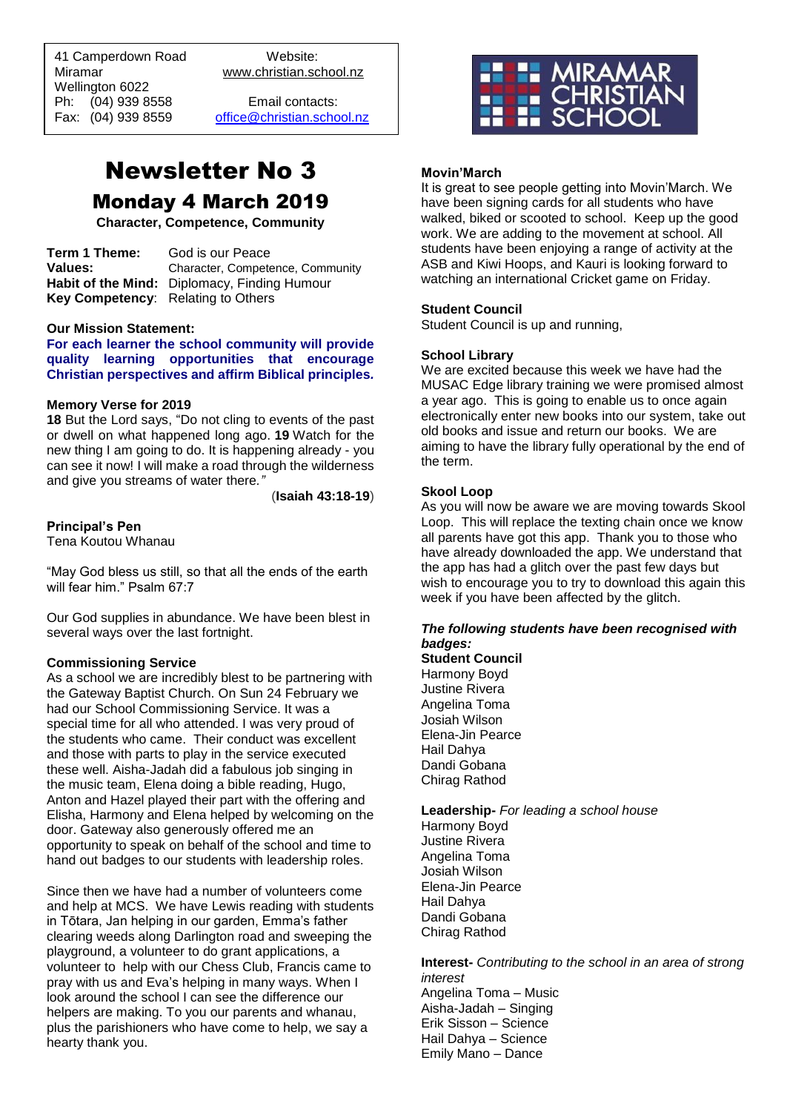41 Camperdown Road Website:<br>Miramar Www.christian.sc Wellington 6022 Ph: (04) 939 8558 Email contacts:<br>Fax: (04) 939 8559 office@christian.scho

 $\overline{a}$ 

www.christian.school.nz

[office@christian.school.nz](mailto:office@christian.school.nz)

# Newsletter No 3 Monday 4 March 2019

**Character, Competence, Community**

**Term 1 Theme:** God is our Peace **Values:** Character, Competence, Community **Habit of the Mind:** Diplomacy, Finding Humour **Key Competency**: Relating to Others

#### **Our Mission Statement:**

**For each learner the school community will provide quality learning opportunities that encourage Christian perspectives and affirm Biblical principles***.*

#### **Memory Verse for 2019**

**18** But the Lord says, "Do not cling to events of the past or dwell on what happened long ago. **19** Watch for the new thing I am going to do. It is happening already - you can see it now! I will make a road through the wilderness and give you streams of water there*."*

(**Isaiah 43:18-19**)

#### **Principal's Pen**

Tena Koutou Whanau

"May God bless us still, so that all the ends of the earth will fear him." Psalm 67:7

Our God supplies in abundance. We have been blest in several ways over the last fortnight.

#### **Commissioning Service**

As a school we are incredibly blest to be partnering with the Gateway Baptist Church. On Sun 24 February we had our School Commissioning Service. It was a special time for all who attended. I was very proud of the students who came. Their conduct was excellent and those with parts to play in the service executed these well. Aisha-Jadah did a fabulous job singing in the music team, Elena doing a bible reading, Hugo, Anton and Hazel played their part with the offering and Elisha, Harmony and Elena helped by welcoming on the door. Gateway also generously offered me an opportunity to speak on behalf of the school and time to hand out badges to our students with leadership roles.

Since then we have had a number of volunteers come and help at MCS. We have Lewis reading with students in Tōtara, Jan helping in our garden, Emma's father clearing weeds along Darlington road and sweeping the playground, a volunteer to do grant applications, a volunteer to help with our Chess Club, Francis came to pray with us and Eva's helping in many ways. When I look around the school I can see the difference our helpers are making. To you our parents and whanau, plus the parishioners who have come to help, we say a hearty thank you.



#### **Movin'March**

It is great to see people getting into Movin'March. We have been signing cards for all students who have walked, biked or scooted to school. Keep up the good work. We are adding to the movement at school. All students have been enjoying a range of activity at the ASB and Kiwi Hoops, and Kauri is looking forward to watching an international Cricket game on Friday.

#### **Student Council**

Student Council is up and running,

#### **School Library**

We are excited because this week we have had the MUSAC Edge library training we were promised almost a year ago. This is going to enable us to once again electronically enter new books into our system, take out old books and issue and return our books. We are aiming to have the library fully operational by the end of the term.

#### **Skool Loop**

As you will now be aware we are moving towards Skool Loop. This will replace the texting chain once we know all parents have got this app. Thank you to those who have already downloaded the app. We understand that the app has had a glitch over the past few days but wish to encourage you to try to download this again this week if you have been affected by the glitch.

### *The following students have been recognised with badges:*

**Student Council** Harmony Boyd Justine Rivera Angelina Toma Josiah Wilson Elena-Jin Pearce Hail Dahya Dandi Gobana Chirag Rathod

**Leadership-** *For leading a school house* Harmony Boyd Justine Rivera Angelina Toma Josiah Wilson Elena-Jin Pearce Hail Dahya

Dandi Gobana Chirag Rathod

**Interest-** *Contributing to the school in an area of strong interest* Angelina Toma – Music Aisha-Jadah – Singing Erik Sisson – Science Hail Dahya – Science Emily Mano – Dance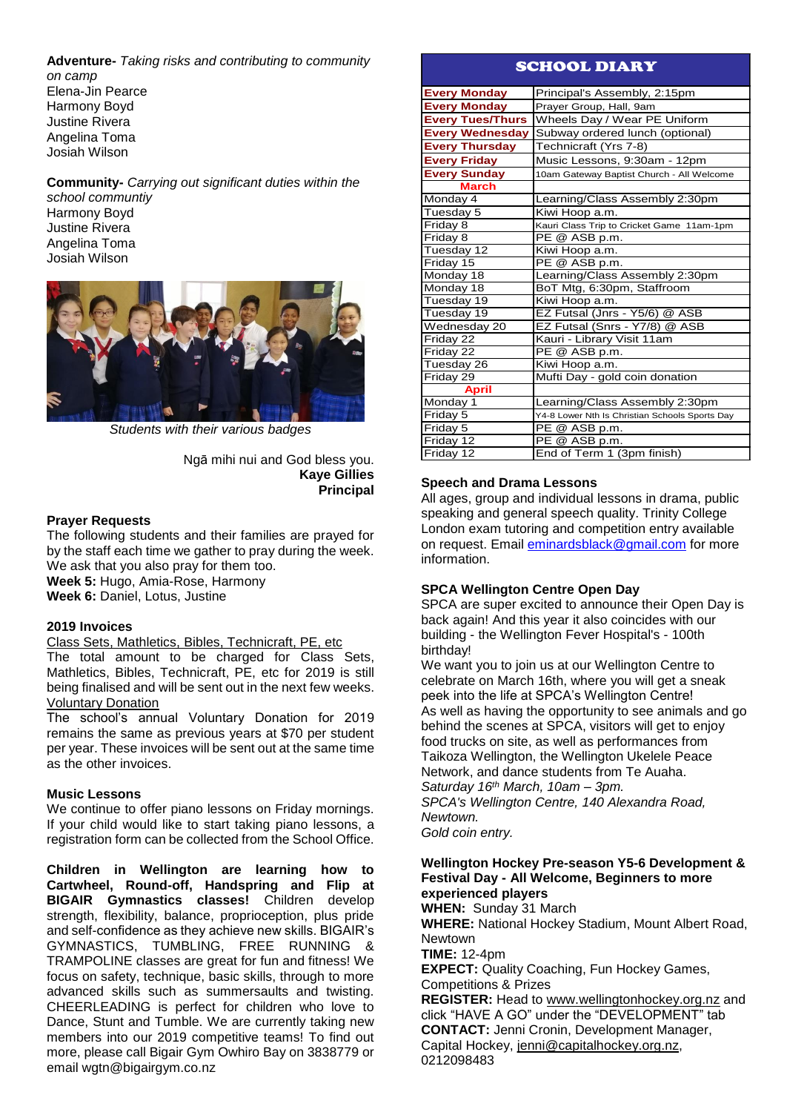**Adventure-** *Taking risks and contributing to community on camp* Elena-Jin Pearce Harmony Boyd Justine Rivera Angelina Toma

**Community-** *Carrying out significant duties within the* 

*school communtiy* Harmony Boyd Justine Rivera Angelina Toma Josiah Wilson

Josiah Wilson



*Students with their various badges*

Ngā mihi nui and God bless you. **Kaye Gillies Principal**

# **Prayer Requests**

The following students and their families are prayed for by the staff each time we gather to pray during the week. We ask that you also pray for them too. **Week 5:** Hugo, Amia-Rose, Harmony

**Week 6:** Daniel, Lotus, Justine

# **2019 Invoices**

Class Sets, Mathletics, Bibles, Technicraft, PE, etc

The total amount to be charged for Class Sets, Mathletics, Bibles, Technicraft, PE, etc for 2019 is still being finalised and will be sent out in the next few weeks. Voluntary Donation

The school's annual Voluntary Donation for 2019 remains the same as previous years at \$70 per student per year. These invoices will be sent out at the same time as the other invoices.

#### **Music Lessons**

We continue to offer piano lessons on Friday mornings. If your child would like to start taking piano lessons, a registration form can be collected from the School Office.

**Children in Wellington are learning how to Cartwheel, Round-off, Handspring and Flip at BIGAIR Gymnastics classes!** Children develop strength, flexibility, balance, proprioception, plus pride and self-confidence as they achieve new skills. BIGAIR's GYMNASTICS, TUMBLING, FREE RUNNING & TRAMPOLINE classes are great for fun and fitness! We focus on safety, technique, basic skills, through to more advanced skills such as summersaults and twisting. CHEERLEADING is perfect for children who love to Dance, Stunt and Tumble. We are currently taking new members into our 2019 competitive teams! To find out more, please call Bigair Gym Owhiro Bay on 3838779 or email wgtn@bigairgym.co.nz

# SCHOOL DIARY

| <b>Every Monday</b>     | Principal's Assembly, 2:15pm                   |
|-------------------------|------------------------------------------------|
| <b>Every Monday</b>     | Prayer Group, Hall, 9am                        |
| <b>Every Tues/Thurs</b> | Wheels Day / Wear PE Uniform                   |
| <b>Every Wednesday</b>  | Subway ordered lunch (optional)                |
| <b>Every Thursday</b>   | Technicraft (Yrs 7-8)                          |
| <b>Every Friday</b>     | Music Lessons, 9:30am - 12pm                   |
| <b>Every Sunday</b>     | 10am Gateway Baptist Church - All Welcome      |
| <b>March</b>            |                                                |
| Monday 4                | Learning/Class Assembly 2:30pm                 |
| Tuesday 5               | Kiwi Hoop a.m.                                 |
| Friday 8                | Kauri Class Trip to Cricket Game 11am-1pm      |
| Friday 8                | PE @ ASB p.m.                                  |
| Tuesday 12              | Kiwi Hoop a.m.                                 |
| Friday 15               | PE @ ASB p.m.                                  |
| Monday 18               | Learning/Class Assembly 2:30pm                 |
| Monday 18               | BoT Mtg, 6:30pm, Staffroom                     |
| Tuesday 19              | Kiwi Hoop a.m.                                 |
| Tuesday 19              | EZ Futsal (Jnrs - Y5/6) @ ASB                  |
| Wednesday 20            | EZ Futsal (Snrs - Y7/8) @ ASB                  |
| Friday 22               | Kauri - Library Visit 11am                     |
| Friday 22               | PE @ ASB p.m.                                  |
| Tuesday 26              | Kiwi Hoop a.m.                                 |
| Friday 29               | Mufti Day - gold coin donation                 |
| <b>April</b>            |                                                |
| Monday 1                | Learning/Class Assembly 2:30pm                 |
| Friday 5                | Y4-8 Lower Nth Is Christian Schools Sports Day |
| Friday 5                | PE @ ASB p.m.                                  |
| Friday 12               | PE @ ASB p.m.                                  |
| Friday 12               | End of Term 1 (3pm finish)                     |

### **Speech and Drama Lessons**

All ages, group and individual lessons in drama, public speaking and general speech quality. Trinity College London exam tutoring and competition entry available on request. Email [eminardsblack@gmail.com](mailto:eminardsblack@gmail.com) for more information.

# **SPCA Wellington Centre Open Day**

SPCA are super excited to announce their Open Day is back again! And this year it also coincides with our building - the Wellington Fever Hospital's - 100th birthday!

We want you to join us at our Wellington Centre to celebrate on March 16th, where you will get a sneak peek into the life at SPCA's Wellington Centre! As well as having the opportunity to see animals and go behind the scenes at SPCA, visitors will get to enjoy food trucks on site, as well as performances from Taikoza Wellington, the Wellington Ukelele Peace Network, and dance students from Te Auaha. *Saturday 16th March, 10am – 3pm. SPCA's Wellington Centre, 140 Alexandra Road, Newtown.*

*Gold coin entry.*

#### **Wellington Hockey Pre-season Y5-6 Development & Festival Day - All Welcome, Beginners to more experienced players**

**WHEN:** Sunday 31 March **WHERE:** National Hockey Stadium, Mount Albert Road, Newtown

**TIME:** 12-4pm

**EXPECT:** Quality Coaching, Fun Hockey Games, Competitions & Prizes

**REGISTER:** Head to [www.wellingtonhockey.org.nz](http://www.wellingtonhockey.org.nz/) and click "HAVE A GO" under the "DEVELOPMENT" tab **CONTACT:** Jenni Cronin, Development Manager, Capital Hockey, [jenni@capitalhockey.org.nz,](mailto:jenni@capitalhockey.org.nz) 0212098483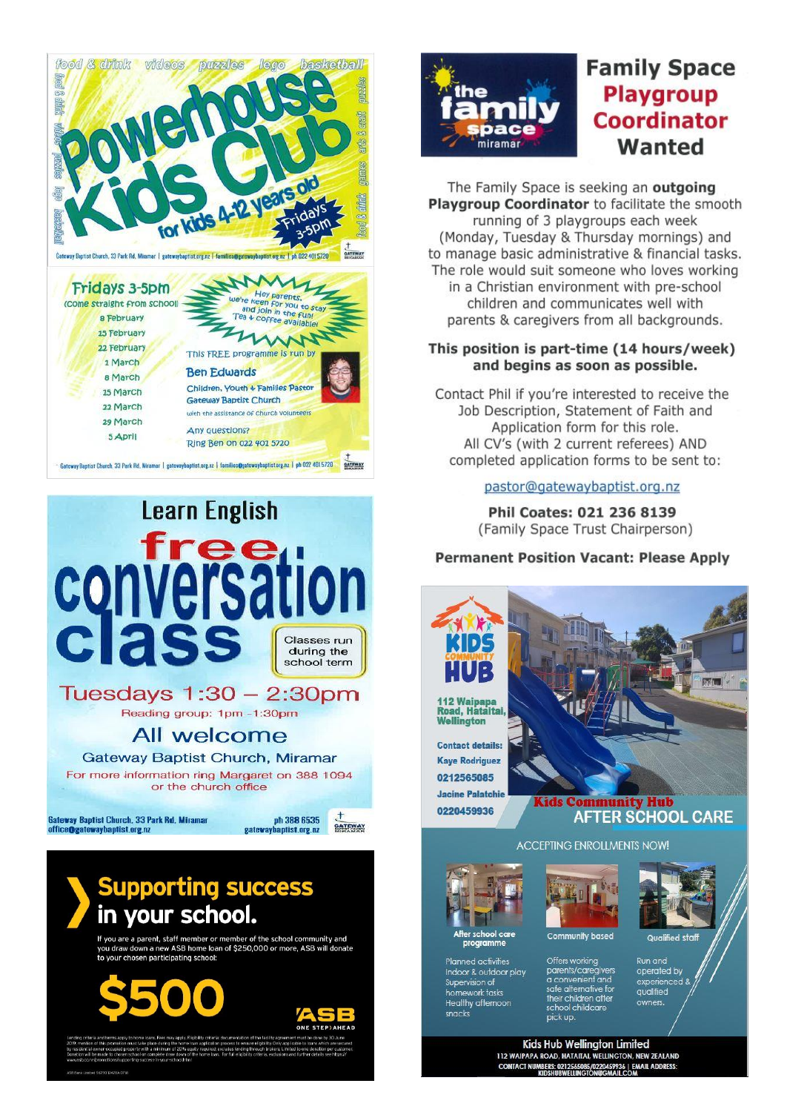



If you are a parent, staff member or member of the school community and<br>you draw down a new ASB home Ioan of \$250,000 or more, ASB will donate<br>to your chosen participating school:





# **Family Space Playgroup Coordinator** Wanted

The Family Space is seeking an outgoing Playgroup Coordinator to facilitate the smooth running of 3 playgroups each week (Monday, Tuesday & Thursday mornings) and to manage basic administrative & financial tasks. The role would suit someone who loves working in a Christian environment with pre-school children and communicates well with parents & caregivers from all backgrounds.

# This position is part-time (14 hours/week) and begins as soon as possible.

Contact Phil if you're interested to receive the Job Description, Statement of Faith and Application form for this role. All CV's (with 2 current referees) AND completed application forms to be sent to:

# pastor@gatewaybaptist.org.nz

Phil Coates: 021 236 8139 (Family Space Trust Chairperson)

# **Permanent Position Vacant: Please Apply**



112 Waipapa<br>Road, Hataitai, Wellington

**Contact details: Kaye Rodriguez** 0212565085 **Jacine Palatchie** 0220459936

# Kids Community Hub **AFTER SCHOOL CARE**

**ACCEPTING ENROLLMENTS NOW!** 



**Planned activities** 

Supervision of homework tasks **Healthy afternoon** 

snacks

Indoor & outdoor play



Offers working

parents/caregiver<br>a convenient and<br>safe alternative for<br>their children after

school childcare

pick up



**Run and** operated by experienced &<br>qualified owners.

Kids Hub Wellington Limited 112 WAIPAPA ROAD, HATAITAI, WELLINGTON, NEW ZEALAND CONTACT NUMBERS: 0212565085/0220459936 | EMAIL ADDRESS:<br>KIDSHUBWELLINGTON@GMAIL.COM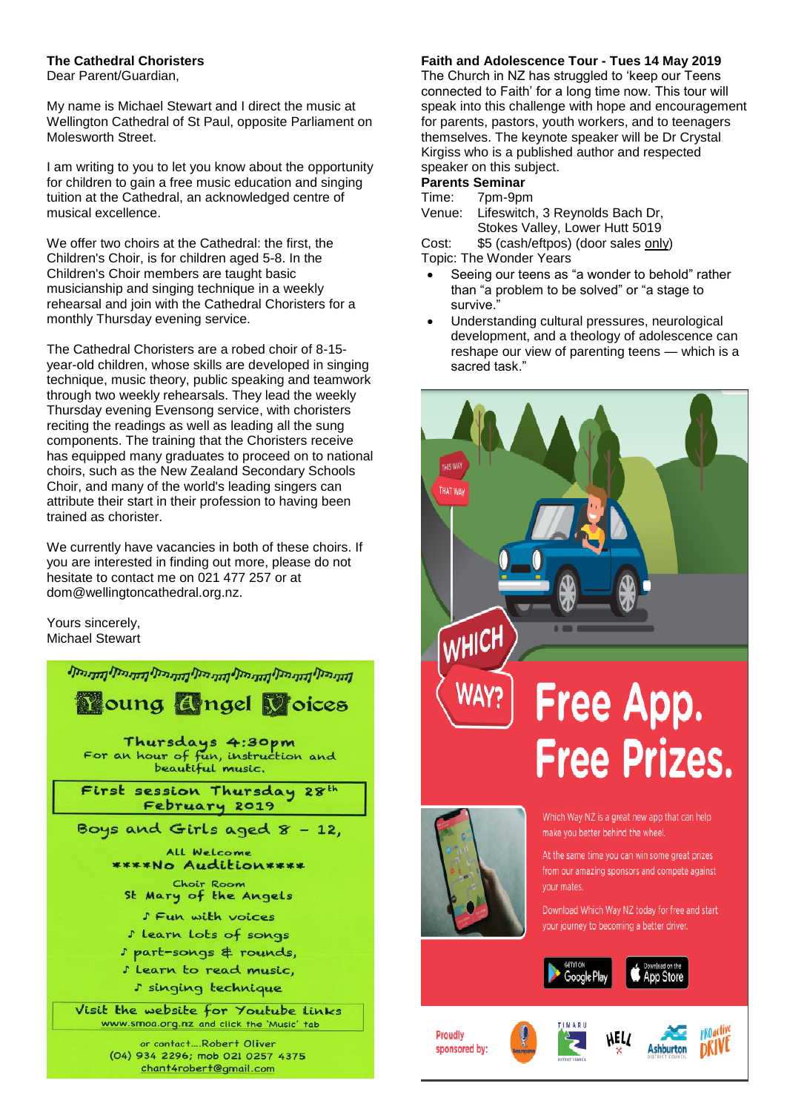# **The Cathedral Choristers**

Dear Parent/Guardian,

My name is Michael Stewart and I direct the music at Wellington Cathedral of St Paul, opposite Parliament on Molesworth Street.

I am writing to you to let you know about the opportunity for children to gain a free music education and singing tuition at the Cathedral, an acknowledged centre of musical excellence.

We offer two choirs at the Cathedral: the first, the Children's Choir, is for children aged 5-8. In the Children's Choir members are taught basic musicianship and singing technique in a weekly rehearsal and join with the Cathedral Choristers for a monthly Thursday evening service.

The Cathedral Choristers are a robed choir of 8-15 year-old children, whose skills are developed in singing technique, music theory, public speaking and teamwork through two weekly rehearsals. They lead the weekly Thursday evening Evensong service, with choristers reciting the readings as well as leading all the sung components. The training that the Choristers receive has equipped many graduates to proceed on to national choirs, such as the New Zealand Secondary Schools Choir, and many of the world's leading singers can attribute their start in their profession to having been trained as chorister.

We currently have vacancies in both of these choirs. If you are interested in finding out more, please do not hesitate to contact me on 021 477 257 or at [dom@wellingtoncathedral.org.nz.](mailto:dom@wellingtoncathedral.org.nz)

Yours sincerely, Michael Stewart



# **Faith and Adolescence Tour - Tues 14 May 2019**

The Church in NZ has struggled to 'keep our Teens connected to Faith' for a long time now. This tour will speak into this challenge with hope and encouragement for parents, pastors, youth workers, and to teenagers themselves. The keynote speaker will be Dr Crystal Kirgiss who is a published author and respected speaker on this subject.

#### **Parents Seminar**

Time: 7pm-9pm

Venue: Lifeswitch, 3 Reynolds Bach Dr, Stokes Valley, Lower Hutt 5019

Cost: \$5 (cash/eftpos) (door sales only) Topic: The Wonder Years

- Seeing our teens as "a wonder to behold" rather than "a problem to be solved" or "a stage to survive."
- Understanding cultural pressures, neurological development, and a theology of adolescence can reshape our view of parenting teens — which is a sacred task."